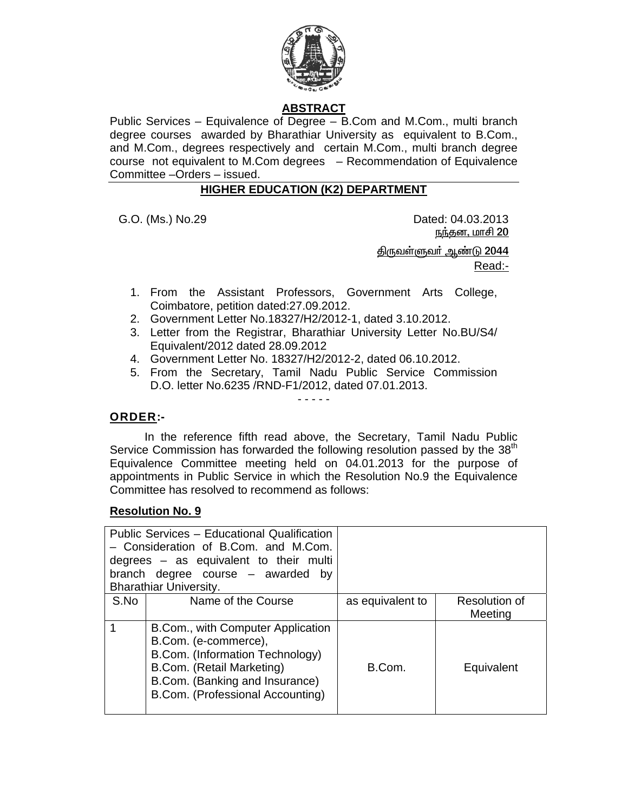

# **ABSTRACT**

Public Services – Equivalence of Degree – B.Com and M.Com., multi branch degree courses awarded by Bharathiar University as equivalent to B.Com., and M.Com., degrees respectively and certain M.Com., multi branch degree course not equivalent to M.Com degrees – Recommendation of Equivalence Committee –Orders – issued.

## **HIGHER EDUCATION (K2) DEPARTMENT**

G.O. (Ms.) No.29 Dated: 04.03.2013 <u>நந்தன, மாசி 20</u>

> <u> திருவள்ளுவர் ஆண்டு 2044</u> Read:-

- 1. From the Assistant Professors, Government Arts College, Coimbatore, petition dated:27.09.2012.
- 2. Government Letter No.18327/H2/2012-1, dated 3.10.2012.
- 3. Letter from the Registrar, Bharathiar University Letter No.BU/S4/ Equivalent/2012 dated 28.09.2012
- 4. Government Letter No. 18327/H2/2012-2, dated 06.10.2012.
- 5. From the Secretary, Tamil Nadu Public Service Commission D.O. letter No.6235 /RND-F1/2012, dated 07.01.2013.

- - - - -

## **ORDER:-**

 In the reference fifth read above, the Secretary, Tamil Nadu Public Service Commission has forwarded the following resolution passed by the 38<sup>th</sup> Equivalence Committee meeting held on 04.01.2013 for the purpose of appointments in Public Service in which the Resolution No.9 the Equivalence Committee has resolved to recommend as follows:

## **Resolution No. 9**

|      | Public Services - Educational Qualification<br>- Consideration of B.Com. and M.Com.<br>degrees $-$ as equivalent to their multi<br>branch degree course - awarded<br>bv<br><b>Bharathiar University.</b> |                  |                          |
|------|----------------------------------------------------------------------------------------------------------------------------------------------------------------------------------------------------------|------------------|--------------------------|
| S.No | Name of the Course                                                                                                                                                                                       | as equivalent to | Resolution of<br>Meeting |
|      | B.Com., with Computer Application<br>B.Com. (e-commerce),<br>B.Com. (Information Technology)<br>B.Com. (Retail Marketing)<br>B.Com. (Banking and Insurance)<br>B.Com. (Professional Accounting)          | B.Com.           | Equivalent               |